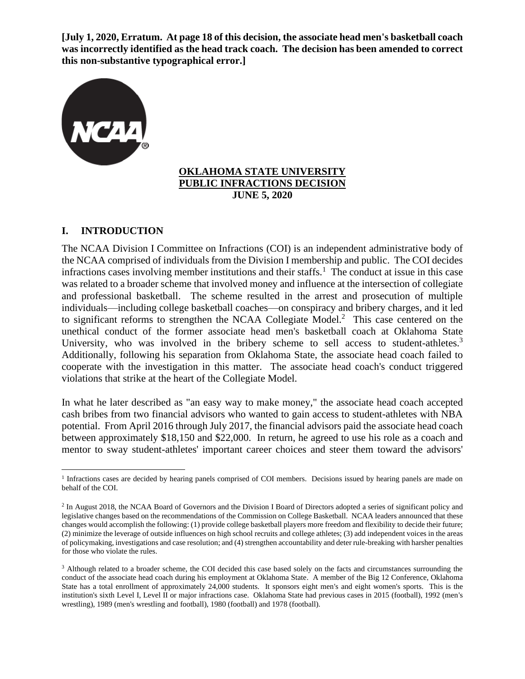**[July 1, 2020, Erratum. At page 18 of this decision, the associate head men's basketball coach was incorrectly identified as the head track coach. The decision has been amended to correct this non-substantive typographical error.]**



#### **OKLAHOMA STATE UNIVERSITY PUBLIC INFRACTIONS DECISION JUNE 5, 2020**

# **I. INTRODUCTION**

The NCAA Division I Committee on Infractions (COI) is an independent administrative body of the NCAA comprised of individuals from the Division I membership and public. The COI decides infractions cases involving member institutions and their staffs.<sup>1</sup> The conduct at issue in this case was related to a broader scheme that involved money and influence at the intersection of collegiate and professional basketball. The scheme resulted in the arrest and prosecution of multiple individuals—including college basketball coaches—on conspiracy and bribery charges, and it led to significant reforms to strengthen the NCAA Collegiate Model. $<sup>2</sup>$  This case centered on the</sup> unethical conduct of the former associate head men's basketball coach at Oklahoma State University, who was involved in the bribery scheme to sell access to student-athletes.<sup>3</sup> Additionally, following his separation from Oklahoma State, the associate head coach failed to cooperate with the investigation in this matter. The associate head coach's conduct triggered violations that strike at the heart of the Collegiate Model.

In what he later described as "an easy way to make money," the associate head coach accepted cash bribes from two financial advisors who wanted to gain access to student-athletes with NBA potential. From April 2016 through July 2017, the financial advisors paid the associate head coach between approximately \$18,150 and \$22,000. In return, he agreed to use his role as a coach and mentor to sway student-athletes' important career choices and steer them toward the advisors'

<sup>&</sup>lt;sup>1</sup> Infractions cases are decided by hearing panels comprised of COI members. Decisions issued by hearing panels are made on behalf of the COI.

<sup>&</sup>lt;sup>2</sup> In August 2018, the NCAA Board of Governors and the Division I Board of Directors adopted a series of significant policy and legislative changes based on the recommendations of the Commission on College Basketball. NCAA leaders announced that these changes would accomplish the following: (1) provide college basketball players more freedom and flexibility to decide their future; (2) minimize the leverage of outside influences on high school recruits and college athletes; (3) add independent voices in the areas of policymaking, investigations and case resolution; and (4) strengthen accountability and deter rule-breaking with harsher penalties for those who violate the rules.

<sup>&</sup>lt;sup>3</sup> Although related to a broader scheme, the COI decided this case based solely on the facts and circumstances surrounding the conduct of the associate head coach during his employment at Oklahoma State. A member of the Big 12 Conference, Oklahoma State has a total enrollment of approximately 24,000 students. It sponsors eight men's and eight women's sports. This is the institution's sixth Level I, Level II or major infractions case. Oklahoma State had previous cases in 2015 (football), 1992 (men's wrestling), 1989 (men's wrestling and football), 1980 (football) and 1978 (football).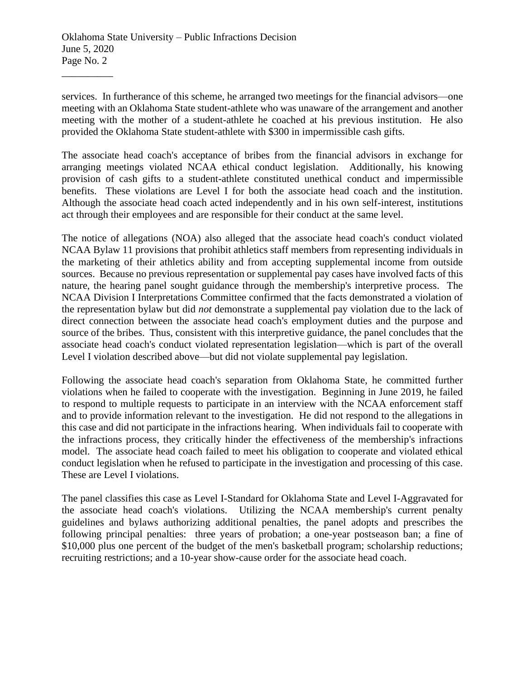services. In furtherance of this scheme, he arranged two meetings for the financial advisors—one meeting with an Oklahoma State student-athlete who was unaware of the arrangement and another meeting with the mother of a student-athlete he coached at his previous institution. He also provided the Oklahoma State student-athlete with \$300 in impermissible cash gifts.

The associate head coach's acceptance of bribes from the financial advisors in exchange for arranging meetings violated NCAA ethical conduct legislation. Additionally, his knowing provision of cash gifts to a student-athlete constituted unethical conduct and impermissible benefits. These violations are Level I for both the associate head coach and the institution. Although the associate head coach acted independently and in his own self-interest, institutions act through their employees and are responsible for their conduct at the same level.

The notice of allegations (NOA) also alleged that the associate head coach's conduct violated NCAA Bylaw 11 provisions that prohibit athletics staff members from representing individuals in the marketing of their athletics ability and from accepting supplemental income from outside sources. Because no previous representation or supplemental pay cases have involved facts of this nature, the hearing panel sought guidance through the membership's interpretive process. The NCAA Division I Interpretations Committee confirmed that the facts demonstrated a violation of the representation bylaw but did *not* demonstrate a supplemental pay violation due to the lack of direct connection between the associate head coach's employment duties and the purpose and source of the bribes. Thus, consistent with this interpretive guidance, the panel concludes that the associate head coach's conduct violated representation legislation—which is part of the overall Level I violation described above—but did not violate supplemental pay legislation.

Following the associate head coach's separation from Oklahoma State, he committed further violations when he failed to cooperate with the investigation. Beginning in June 2019, he failed to respond to multiple requests to participate in an interview with the NCAA enforcement staff and to provide information relevant to the investigation. He did not respond to the allegations in this case and did not participate in the infractions hearing. When individuals fail to cooperate with the infractions process, they critically hinder the effectiveness of the membership's infractions model. The associate head coach failed to meet his obligation to cooperate and violated ethical conduct legislation when he refused to participate in the investigation and processing of this case. These are Level I violations.

The panel classifies this case as Level I-Standard for Oklahoma State and Level I-Aggravated for the associate head coach's violations. Utilizing the NCAA membership's current penalty guidelines and bylaws authorizing additional penalties, the panel adopts and prescribes the following principal penalties: three years of probation; a one-year postseason ban; a fine of \$10,000 plus one percent of the budget of the men's basketball program; scholarship reductions; recruiting restrictions; and a 10-year show-cause order for the associate head coach.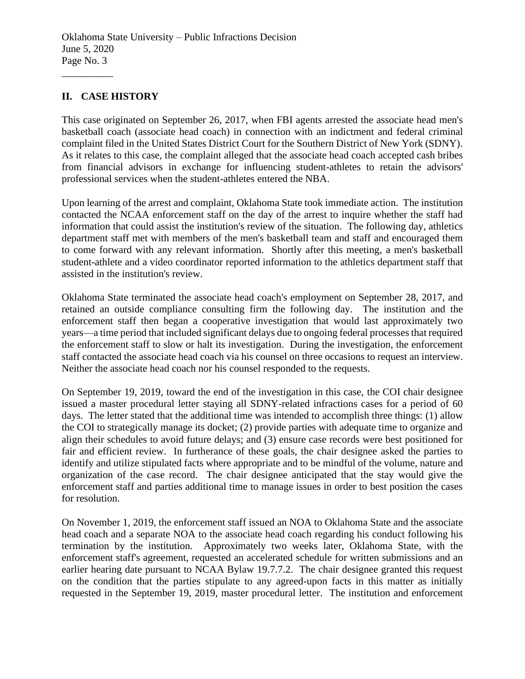# **II. CASE HISTORY**

\_\_\_\_\_\_\_\_\_\_

This case originated on September 26, 2017, when FBI agents arrested the associate head men's basketball coach (associate head coach) in connection with an indictment and federal criminal complaint filed in the United States District Court for the Southern District of New York (SDNY). As it relates to this case, the complaint alleged that the associate head coach accepted cash bribes from financial advisors in exchange for influencing student-athletes to retain the advisors' professional services when the student-athletes entered the NBA.

Upon learning of the arrest and complaint, Oklahoma State took immediate action. The institution contacted the NCAA enforcement staff on the day of the arrest to inquire whether the staff had information that could assist the institution's review of the situation. The following day, athletics department staff met with members of the men's basketball team and staff and encouraged them to come forward with any relevant information. Shortly after this meeting, a men's basketball student-athlete and a video coordinator reported information to the athletics department staff that assisted in the institution's review.

Oklahoma State terminated the associate head coach's employment on September 28, 2017, and retained an outside compliance consulting firm the following day. The institution and the enforcement staff then began a cooperative investigation that would last approximately two years—a time period that included significant delays due to ongoing federal processes that required the enforcement staff to slow or halt its investigation. During the investigation, the enforcement staff contacted the associate head coach via his counsel on three occasions to request an interview. Neither the associate head coach nor his counsel responded to the requests.

On September 19, 2019, toward the end of the investigation in this case, the COI chair designee issued a master procedural letter staying all SDNY-related infractions cases for a period of 60 days. The letter stated that the additional time was intended to accomplish three things: (1) allow the COI to strategically manage its docket; (2) provide parties with adequate time to organize and align their schedules to avoid future delays; and (3) ensure case records were best positioned for fair and efficient review. In furtherance of these goals, the chair designee asked the parties to identify and utilize stipulated facts where appropriate and to be mindful of the volume, nature and organization of the case record. The chair designee anticipated that the stay would give the enforcement staff and parties additional time to manage issues in order to best position the cases for resolution.

On November 1, 2019, the enforcement staff issued an NOA to Oklahoma State and the associate head coach and a separate NOA to the associate head coach regarding his conduct following his termination by the institution. Approximately two weeks later, Oklahoma State, with the enforcement staff's agreement, requested an accelerated schedule for written submissions and an earlier hearing date pursuant to NCAA Bylaw 19.7.7.2. The chair designee granted this request on the condition that the parties stipulate to any agreed-upon facts in this matter as initially requested in the September 19, 2019, master procedural letter. The institution and enforcement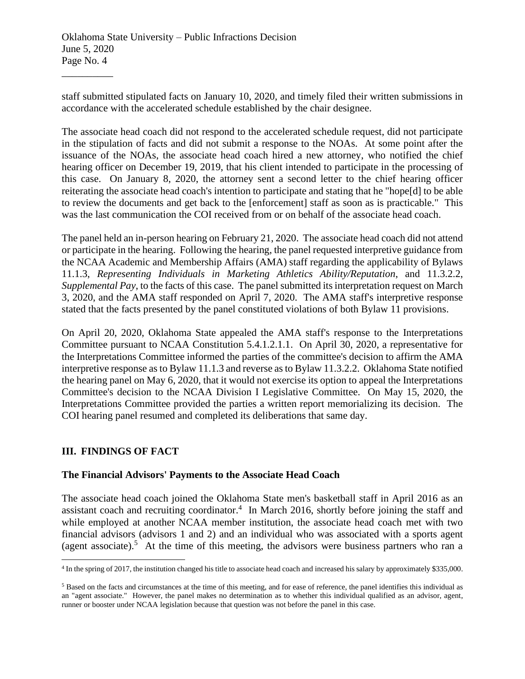staff submitted stipulated facts on January 10, 2020, and timely filed their written submissions in accordance with the accelerated schedule established by the chair designee.

The associate head coach did not respond to the accelerated schedule request, did not participate in the stipulation of facts and did not submit a response to the NOAs. At some point after the issuance of the NOAs, the associate head coach hired a new attorney, who notified the chief hearing officer on December 19, 2019, that his client intended to participate in the processing of this case. On January 8, 2020, the attorney sent a second letter to the chief hearing officer reiterating the associate head coach's intention to participate and stating that he "hope[d] to be able to review the documents and get back to the [enforcement] staff as soon as is practicable." This was the last communication the COI received from or on behalf of the associate head coach.

The panel held an in-person hearing on February 21, 2020. The associate head coach did not attend or participate in the hearing. Following the hearing, the panel requested interpretive guidance from the NCAA Academic and Membership Affairs (AMA) staff regarding the applicability of Bylaws 11.1.3, *Representing Individuals in Marketing Athletics Ability/Reputation*, and 11.3.2.2, *Supplemental Pay*, to the facts of this case. The panel submitted its interpretation request on March 3, 2020, and the AMA staff responded on April 7, 2020. The AMA staff's interpretive response stated that the facts presented by the panel constituted violations of both Bylaw 11 provisions.

On April 20, 2020, Oklahoma State appealed the AMA staff's response to the Interpretations Committee pursuant to NCAA Constitution 5.4.1.2.1.1. On April 30, 2020, a representative for the Interpretations Committee informed the parties of the committee's decision to affirm the AMA interpretive response as to Bylaw 11.1.3 and reverse as to Bylaw 11.3.2.2. Oklahoma State notified the hearing panel on May 6, 2020, that it would not exercise its option to appeal the Interpretations Committee's decision to the NCAA Division I Legislative Committee. On May 15, 2020, the Interpretations Committee provided the parties a written report memorializing its decision. The COI hearing panel resumed and completed its deliberations that same day.

## **III. FINDINGS OF FACT**

#### **The Financial Advisors' Payments to the Associate Head Coach**

The associate head coach joined the Oklahoma State men's basketball staff in April 2016 as an assistant coach and recruiting coordinator.<sup>4</sup> In March 2016, shortly before joining the staff and while employed at another NCAA member institution, the associate head coach met with two financial advisors (advisors 1 and 2) and an individual who was associated with a sports agent (agent associate).<sup>5</sup> At the time of this meeting, the advisors were business partners who ran a

<sup>&</sup>lt;sup>4</sup> In the spring of 2017, the institution changed his title to associate head coach and increased his salary by approximately \$335,000.

<sup>&</sup>lt;sup>5</sup> Based on the facts and circumstances at the time of this meeting, and for ease of reference, the panel identifies this individual as an "agent associate." However, the panel makes no determination as to whether this individual qualified as an advisor, agent, runner or booster under NCAA legislation because that question was not before the panel in this case.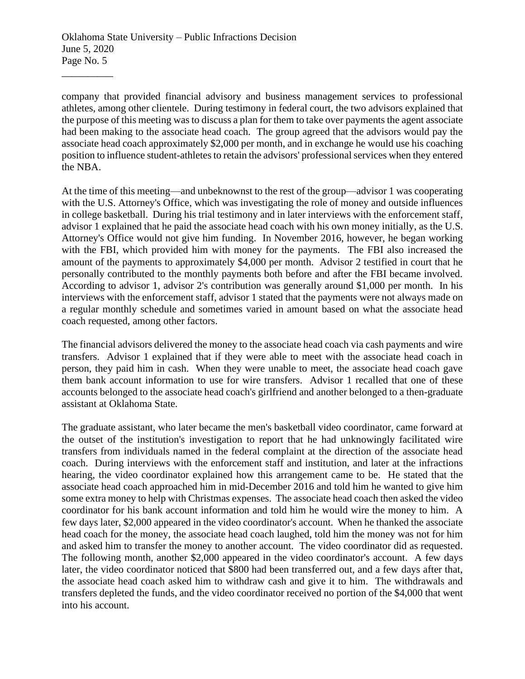company that provided financial advisory and business management services to professional athletes, among other clientele. During testimony in federal court, the two advisors explained that the purpose of this meeting was to discuss a plan for them to take over payments the agent associate had been making to the associate head coach. The group agreed that the advisors would pay the associate head coach approximately \$2,000 per month, and in exchange he would use his coaching position to influence student-athletes to retain the advisors' professional services when they entered the NBA.

At the time of this meeting—and unbeknownst to the rest of the group—advisor 1 was cooperating with the U.S. Attorney's Office, which was investigating the role of money and outside influences in college basketball. During his trial testimony and in later interviews with the enforcement staff, advisor 1 explained that he paid the associate head coach with his own money initially, as the U.S. Attorney's Office would not give him funding. In November 2016, however, he began working with the FBI, which provided him with money for the payments. The FBI also increased the amount of the payments to approximately \$4,000 per month. Advisor 2 testified in court that he personally contributed to the monthly payments both before and after the FBI became involved. According to advisor 1, advisor 2's contribution was generally around \$1,000 per month. In his interviews with the enforcement staff, advisor 1 stated that the payments were not always made on a regular monthly schedule and sometimes varied in amount based on what the associate head coach requested, among other factors.

The financial advisors delivered the money to the associate head coach via cash payments and wire transfers. Advisor 1 explained that if they were able to meet with the associate head coach in person, they paid him in cash. When they were unable to meet, the associate head coach gave them bank account information to use for wire transfers. Advisor 1 recalled that one of these accounts belonged to the associate head coach's girlfriend and another belonged to a then-graduate assistant at Oklahoma State.

The graduate assistant, who later became the men's basketball video coordinator, came forward at the outset of the institution's investigation to report that he had unknowingly facilitated wire transfers from individuals named in the federal complaint at the direction of the associate head coach. During interviews with the enforcement staff and institution, and later at the infractions hearing, the video coordinator explained how this arrangement came to be. He stated that the associate head coach approached him in mid-December 2016 and told him he wanted to give him some extra money to help with Christmas expenses. The associate head coach then asked the video coordinator for his bank account information and told him he would wire the money to him. A few days later, \$2,000 appeared in the video coordinator's account. When he thanked the associate head coach for the money, the associate head coach laughed, told him the money was not for him and asked him to transfer the money to another account. The video coordinator did as requested. The following month, another \$2,000 appeared in the video coordinator's account. A few days later, the video coordinator noticed that \$800 had been transferred out, and a few days after that, the associate head coach asked him to withdraw cash and give it to him. The withdrawals and transfers depleted the funds, and the video coordinator received no portion of the \$4,000 that went into his account.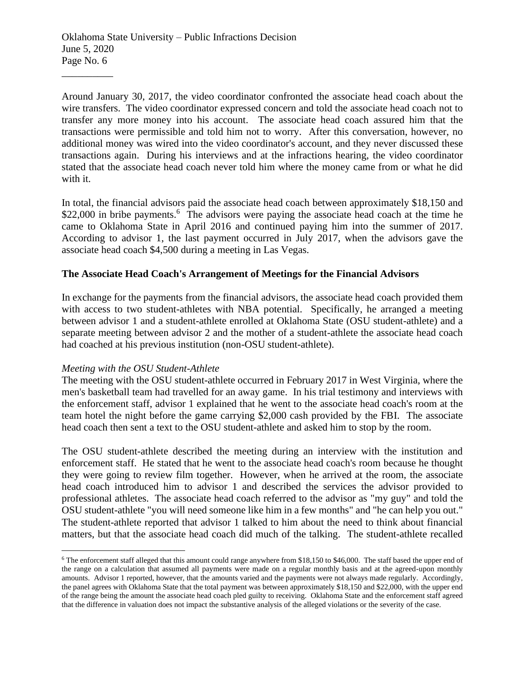Around January 30, 2017, the video coordinator confronted the associate head coach about the wire transfers. The video coordinator expressed concern and told the associate head coach not to transfer any more money into his account. The associate head coach assured him that the transactions were permissible and told him not to worry. After this conversation, however, no additional money was wired into the video coordinator's account, and they never discussed these transactions again. During his interviews and at the infractions hearing, the video coordinator stated that the associate head coach never told him where the money came from or what he did with it.

In total, the financial advisors paid the associate head coach between approximately \$18,150 and \$22,000 in bribe payments.<sup>6</sup> The advisors were paying the associate head coach at the time he came to Oklahoma State in April 2016 and continued paying him into the summer of 2017. According to advisor 1, the last payment occurred in July 2017, when the advisors gave the associate head coach \$4,500 during a meeting in Las Vegas.

#### **The Associate Head Coach's Arrangement of Meetings for the Financial Advisors**

In exchange for the payments from the financial advisors, the associate head coach provided them with access to two student-athletes with NBA potential. Specifically, he arranged a meeting between advisor 1 and a student-athlete enrolled at Oklahoma State (OSU student-athlete) and a separate meeting between advisor 2 and the mother of a student-athlete the associate head coach had coached at his previous institution (non-OSU student-athlete).

#### *Meeting with the OSU Student-Athlete*

The meeting with the OSU student-athlete occurred in February 2017 in West Virginia, where the men's basketball team had travelled for an away game. In his trial testimony and interviews with the enforcement staff, advisor 1 explained that he went to the associate head coach's room at the team hotel the night before the game carrying \$2,000 cash provided by the FBI. The associate head coach then sent a text to the OSU student-athlete and asked him to stop by the room.

The OSU student-athlete described the meeting during an interview with the institution and enforcement staff. He stated that he went to the associate head coach's room because he thought they were going to review film together. However, when he arrived at the room, the associate head coach introduced him to advisor 1 and described the services the advisor provided to professional athletes. The associate head coach referred to the advisor as "my guy" and told the OSU student-athlete "you will need someone like him in a few months" and "he can help you out." The student-athlete reported that advisor 1 talked to him about the need to think about financial matters, but that the associate head coach did much of the talking. The student-athlete recalled

<sup>6</sup> The enforcement staff alleged that this amount could range anywhere from \$18,150 to \$46,000. The staff based the upper end of the range on a calculation that assumed all payments were made on a regular monthly basis and at the agreed-upon monthly amounts. Advisor 1 reported, however, that the amounts varied and the payments were not always made regularly. Accordingly, the panel agrees with Oklahoma State that the total payment was between approximately \$18,150 and \$22,000, with the upper end of the range being the amount the associate head coach pled guilty to receiving. Oklahoma State and the enforcement staff agreed that the difference in valuation does not impact the substantive analysis of the alleged violations or the severity of the case.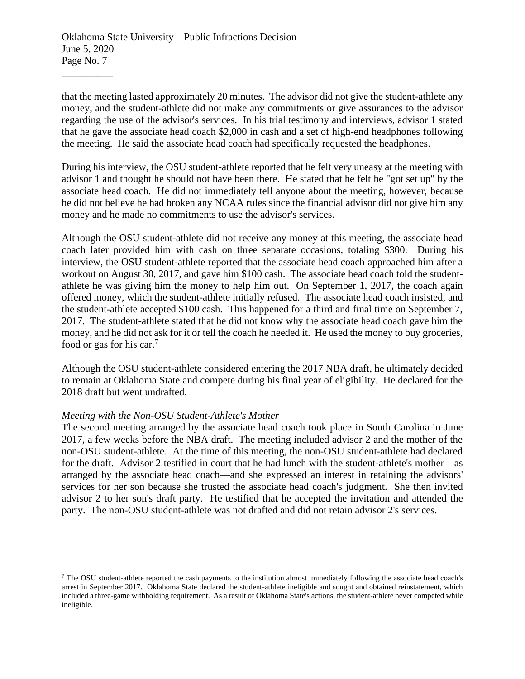that the meeting lasted approximately 20 minutes. The advisor did not give the student-athlete any money, and the student-athlete did not make any commitments or give assurances to the advisor regarding the use of the advisor's services. In his trial testimony and interviews, advisor 1 stated that he gave the associate head coach \$2,000 in cash and a set of high-end headphones following the meeting. He said the associate head coach had specifically requested the headphones.

During his interview, the OSU student-athlete reported that he felt very uneasy at the meeting with advisor 1 and thought he should not have been there. He stated that he felt he "got set up" by the associate head coach. He did not immediately tell anyone about the meeting, however, because he did not believe he had broken any NCAA rules since the financial advisor did not give him any money and he made no commitments to use the advisor's services.

Although the OSU student-athlete did not receive any money at this meeting, the associate head coach later provided him with cash on three separate occasions, totaling \$300. During his interview, the OSU student-athlete reported that the associate head coach approached him after a workout on August 30, 2017, and gave him \$100 cash. The associate head coach told the studentathlete he was giving him the money to help him out. On September 1, 2017, the coach again offered money, which the student-athlete initially refused. The associate head coach insisted, and the student-athlete accepted \$100 cash. This happened for a third and final time on September 7, 2017. The student-athlete stated that he did not know why the associate head coach gave him the money, and he did not ask for it or tell the coach he needed it. He used the money to buy groceries, food or gas for his car.<sup>7</sup>

Although the OSU student-athlete considered entering the 2017 NBA draft, he ultimately decided to remain at Oklahoma State and compete during his final year of eligibility. He declared for the 2018 draft but went undrafted.

#### *Meeting with the Non-OSU Student-Athlete's Mother*

The second meeting arranged by the associate head coach took place in South Carolina in June 2017, a few weeks before the NBA draft. The meeting included advisor 2 and the mother of the non-OSU student-athlete. At the time of this meeting, the non-OSU student-athlete had declared for the draft. Advisor 2 testified in court that he had lunch with the student-athlete's mother—as arranged by the associate head coach—and she expressed an interest in retaining the advisors' services for her son because she trusted the associate head coach's judgment. She then invited advisor 2 to her son's draft party. He testified that he accepted the invitation and attended the party. The non-OSU student-athlete was not drafted and did not retain advisor 2's services.

<sup>7</sup> The OSU student-athlete reported the cash payments to the institution almost immediately following the associate head coach's arrest in September 2017. Oklahoma State declared the student-athlete ineligible and sought and obtained reinstatement, which included a three-game withholding requirement. As a result of Oklahoma State's actions, the student-athlete never competed while ineligible.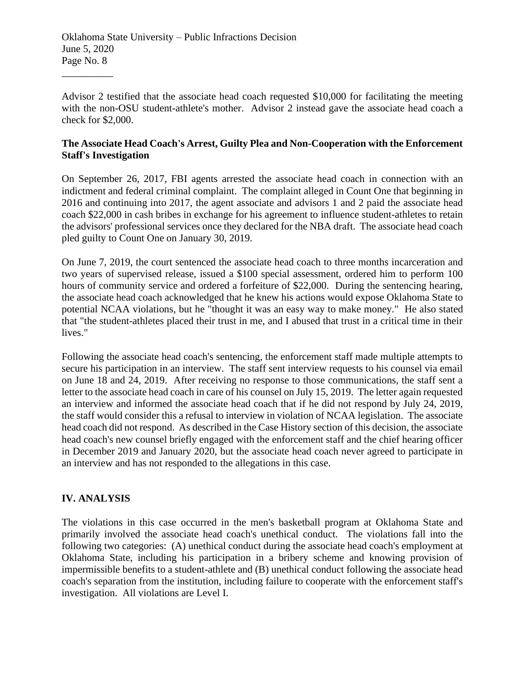Advisor 2 testified that the associate head coach requested \$10,000 for facilitating the meeting with the non-OSU student-athlete's mother. Advisor 2 instead gave the associate head coach a check for \$2,000.

#### **The Associate Head Coach's Arrest, Guilty Plea and Non-Cooperation with the Enforcement Staff's Investigation**

On September 26, 2017, FBI agents arrested the associate head coach in connection with an indictment and federal criminal complaint. The complaint alleged in Count One that beginning in 2016 and continuing into 2017, the agent associate and advisors 1 and 2 paid the associate head coach \$22,000 in cash bribes in exchange for his agreement to influence student-athletes to retain the advisors' professional services once they declared for the NBA draft. The associate head coach pled guilty to Count One on January 30, 2019.

On June 7, 2019, the court sentenced the associate head coach to three months incarceration and two years of supervised release, issued a \$100 special assessment, ordered him to perform 100 hours of community service and ordered a forfeiture of \$22,000. During the sentencing hearing, the associate head coach acknowledged that he knew his actions would expose Oklahoma State to potential NCAA violations, but he "thought it was an easy way to make money." He also stated that "the student-athletes placed their trust in me, and I abused that trust in a critical time in their lives."

Following the associate head coach's sentencing, the enforcement staff made multiple attempts to secure his participation in an interview. The staff sent interview requests to his counsel via email on June 18 and 24, 2019. After receiving no response to those communications, the staff sent a letter to the associate head coach in care of his counsel on July 15, 2019. The letter again requested an interview and informed the associate head coach that if he did not respond by July 24, 2019, the staff would consider this a refusal to interview in violation of NCAA legislation. The associate head coach did not respond. As described in the Case History section of this decision, the associate head coach's new counsel briefly engaged with the enforcement staff and the chief hearing officer in December 2019 and January 2020, but the associate head coach never agreed to participate in an interview and has not responded to the allegations in this case.

# **IV. ANALYSIS**

\_\_\_\_\_\_\_\_\_\_

The violations in this case occurred in the men's basketball program at Oklahoma State and primarily involved the associate head coach's unethical conduct. The violations fall into the following two categories: (A) unethical conduct during the associate head coach's employment at Oklahoma State, including his participation in a bribery scheme and knowing provision of impermissible benefits to a student-athlete and (B) unethical conduct following the associate head coach's separation from the institution, including failure to cooperate with the enforcement staff's investigation. All violations are Level I.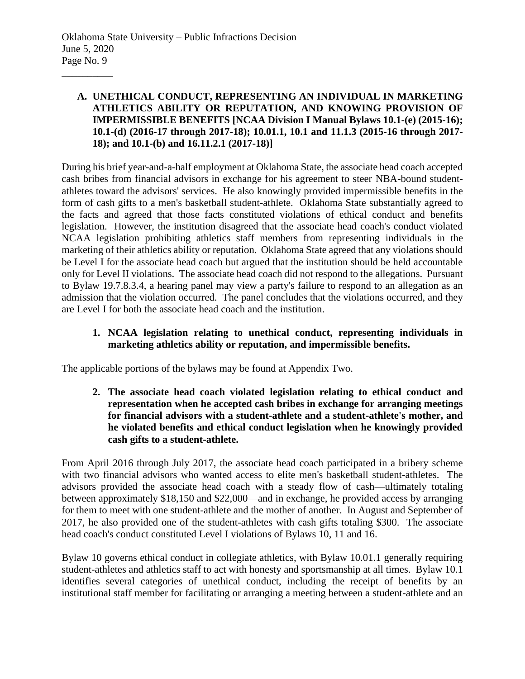## **A. UNETHICAL CONDUCT, REPRESENTING AN INDIVIDUAL IN MARKETING ATHLETICS ABILITY OR REPUTATION, AND KNOWING PROVISION OF IMPERMISSIBLE BENEFITS [NCAA Division I Manual Bylaws 10.1-(e) (2015-16); 10.1-(d) (2016-17 through 2017-18); 10.01.1, 10.1 and 11.1.3 (2015-16 through 2017- 18); and 10.1-(b) and 16.11.2.1 (2017-18)]**

During his brief year-and-a-half employment at Oklahoma State, the associate head coach accepted cash bribes from financial advisors in exchange for his agreement to steer NBA-bound studentathletes toward the advisors' services. He also knowingly provided impermissible benefits in the form of cash gifts to a men's basketball student-athlete. Oklahoma State substantially agreed to the facts and agreed that those facts constituted violations of ethical conduct and benefits legislation. However, the institution disagreed that the associate head coach's conduct violated NCAA legislation prohibiting athletics staff members from representing individuals in the marketing of their athletics ability or reputation. Oklahoma State agreed that any violations should be Level I for the associate head coach but argued that the institution should be held accountable only for Level II violations. The associate head coach did not respond to the allegations. Pursuant to Bylaw 19.7.8.3.4, a hearing panel may view a party's failure to respond to an allegation as an admission that the violation occurred. The panel concludes that the violations occurred, and they are Level I for both the associate head coach and the institution.

## **1. NCAA legislation relating to unethical conduct, representing individuals in marketing athletics ability or reputation, and impermissible benefits.**

The applicable portions of the bylaws may be found at Appendix Two.

**2. The associate head coach violated legislation relating to ethical conduct and representation when he accepted cash bribes in exchange for arranging meetings for financial advisors with a student-athlete and a student-athlete's mother, and he violated benefits and ethical conduct legislation when he knowingly provided cash gifts to a student-athlete.**

From April 2016 through July 2017, the associate head coach participated in a bribery scheme with two financial advisors who wanted access to elite men's basketball student-athletes. The advisors provided the associate head coach with a steady flow of cash—ultimately totaling between approximately \$18,150 and \$22,000—and in exchange, he provided access by arranging for them to meet with one student-athlete and the mother of another. In August and September of 2017, he also provided one of the student-athletes with cash gifts totaling \$300. The associate head coach's conduct constituted Level I violations of Bylaws 10, 11 and 16.

Bylaw 10 governs ethical conduct in collegiate athletics, with Bylaw 10.01.1 generally requiring student-athletes and athletics staff to act with honesty and sportsmanship at all times. Bylaw 10.1 identifies several categories of unethical conduct, including the receipt of benefits by an institutional staff member for facilitating or arranging a meeting between a student-athlete and an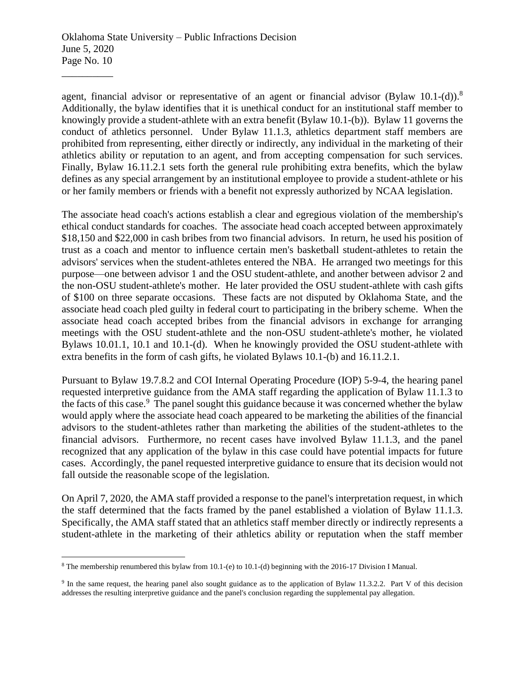agent, financial advisor or representative of an agent or financial advisor (Bylaw 10.1-(d)).<sup>8</sup> Additionally, the bylaw identifies that it is unethical conduct for an institutional staff member to knowingly provide a student-athlete with an extra benefit (Bylaw 10.1-(b)). Bylaw 11 governs the conduct of athletics personnel. Under Bylaw 11.1.3, athletics department staff members are prohibited from representing, either directly or indirectly, any individual in the marketing of their athletics ability or reputation to an agent, and from accepting compensation for such services. Finally, Bylaw 16.11.2.1 sets forth the general rule prohibiting extra benefits, which the bylaw defines as any special arrangement by an institutional employee to provide a student-athlete or his or her family members or friends with a benefit not expressly authorized by NCAA legislation.

The associate head coach's actions establish a clear and egregious violation of the membership's ethical conduct standards for coaches. The associate head coach accepted between approximately \$18,150 and \$22,000 in cash bribes from two financial advisors. In return, he used his position of trust as a coach and mentor to influence certain men's basketball student-athletes to retain the advisors' services when the student-athletes entered the NBA. He arranged two meetings for this purpose—one between advisor 1 and the OSU student-athlete, and another between advisor 2 and the non-OSU student-athlete's mother. He later provided the OSU student-athlete with cash gifts of \$100 on three separate occasions. These facts are not disputed by Oklahoma State, and the associate head coach pled guilty in federal court to participating in the bribery scheme. When the associate head coach accepted bribes from the financial advisors in exchange for arranging meetings with the OSU student-athlete and the non-OSU student-athlete's mother, he violated Bylaws 10.01.1, 10.1 and 10.1-(d). When he knowingly provided the OSU student-athlete with extra benefits in the form of cash gifts, he violated Bylaws 10.1-(b) and 16.11.2.1.

Pursuant to Bylaw 19.7.8.2 and COI Internal Operating Procedure (IOP) 5-9-4, the hearing panel requested interpretive guidance from the AMA staff regarding the application of Bylaw 11.1.3 to the facts of this case.<sup>9</sup> The panel sought this guidance because it was concerned whether the bylaw would apply where the associate head coach appeared to be marketing the abilities of the financial advisors to the student-athletes rather than marketing the abilities of the student-athletes to the financial advisors. Furthermore, no recent cases have involved Bylaw 11.1.3, and the panel recognized that any application of the bylaw in this case could have potential impacts for future cases. Accordingly, the panel requested interpretive guidance to ensure that its decision would not fall outside the reasonable scope of the legislation.

On April 7, 2020, the AMA staff provided a response to the panel's interpretation request, in which the staff determined that the facts framed by the panel established a violation of Bylaw 11.1.3. Specifically, the AMA staff stated that an athletics staff member directly or indirectly represents a student-athlete in the marketing of their athletics ability or reputation when the staff member

<sup>8</sup> The membership renumbered this bylaw from 10.1-(e) to 10.1-(d) beginning with the 2016-17 Division I Manual.

<sup>&</sup>lt;sup>9</sup> In the same request, the hearing panel also sought guidance as to the application of Bylaw 11.3.2.2. Part V of this decision addresses the resulting interpretive guidance and the panel's conclusion regarding the supplemental pay allegation.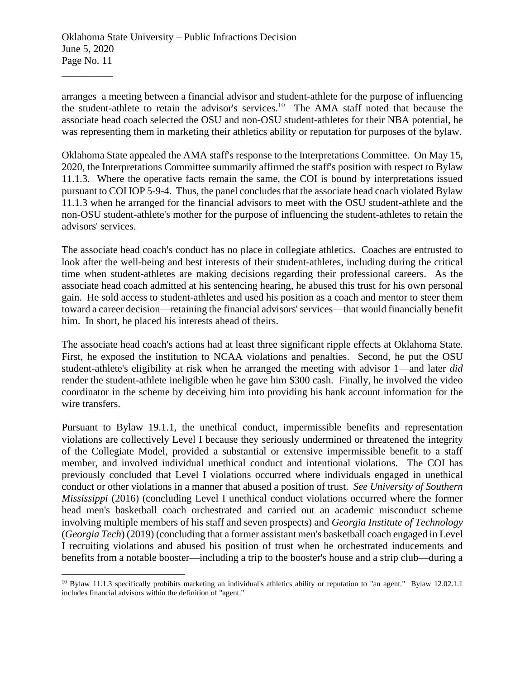arranges a meeting between a financial advisor and student-athlete for the purpose of influencing the student-athlete to retain the advisor's services.<sup>10</sup> The AMA staff noted that because the associate head coach selected the OSU and non-OSU student-athletes for their NBA potential, he was representing them in marketing their athletics ability or reputation for purposes of the bylaw.

Oklahoma State appealed the AMA staff's response to the Interpretations Committee. On May 15, 2020, the Interpretations Committee summarily affirmed the staff's position with respect to Bylaw 11.1.3. Where the operative facts remain the same, the COI is bound by interpretations issued pursuant to COI IOP 5-9-4. Thus, the panel concludes that the associate head coach violated Bylaw 11.1.3 when he arranged for the financial advisors to meet with the OSU student-athlete and the non-OSU student-athlete's mother for the purpose of influencing the student-athletes to retain the advisors' services.

The associate head coach's conduct has no place in collegiate athletics. Coaches are entrusted to look after the well-being and best interests of their student-athletes, including during the critical time when student-athletes are making decisions regarding their professional careers. As the associate head coach admitted at his sentencing hearing, he abused this trust for his own personal gain. He sold access to student-athletes and used his position as a coach and mentor to steer them toward a career decision—retaining the financial advisors'services—that would financially benefit him. In short, he placed his interests ahead of theirs.

The associate head coach's actions had at least three significant ripple effects at Oklahoma State. First, he exposed the institution to NCAA violations and penalties. Second, he put the OSU student-athlete's eligibility at risk when he arranged the meeting with advisor 1—and later *did* render the student-athlete ineligible when he gave him \$300 cash. Finally, he involved the video coordinator in the scheme by deceiving him into providing his bank account information for the wire transfers.

Pursuant to Bylaw 19.1.1, the unethical conduct, impermissible benefits and representation violations are collectively Level I because they seriously undermined or threatened the integrity of the Collegiate Model, provided a substantial or extensive impermissible benefit to a staff member, and involved individual unethical conduct and intentional violations. The COI has previously concluded that Level I violations occurred where individuals engaged in unethical conduct or other violations in a manner that abused a position of trust. *See University of Southern Mississippi* (2016) (concluding Level I unethical conduct violations occurred where the former head men's basketball coach orchestrated and carried out an academic misconduct scheme involving multiple members of his staff and seven prospects) and *Georgia Institute of Technology* (*Georgia Tech*) (2019) (concluding that a former assistant men's basketball coach engaged in Level I recruiting violations and abused his position of trust when he orchestrated inducements and benefits from a notable booster—including a trip to the booster's house and a strip club—during a

<sup>&</sup>lt;sup>10</sup> Bylaw 11.1.3 specifically prohibits marketing an individual's athletics ability or reputation to "an agent." Bylaw 12.02.1.1 includes financial advisors within the definition of "agent."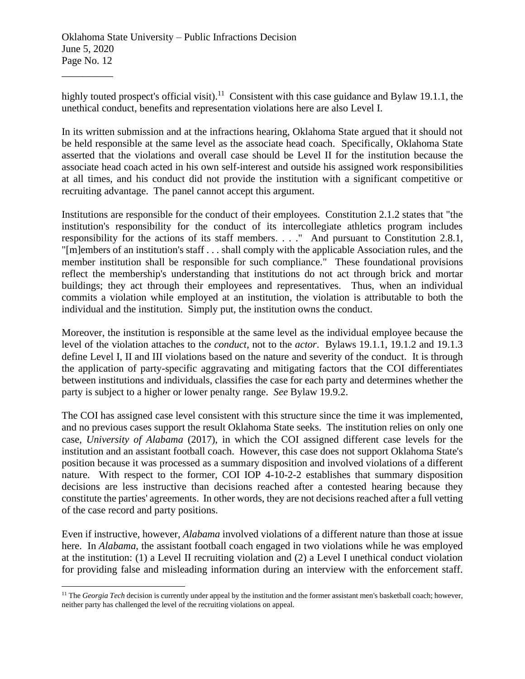highly touted prospect's official visit).<sup>11</sup> Consistent with this case guidance and Bylaw 19.1.1, the unethical conduct, benefits and representation violations here are also Level I.

In its written submission and at the infractions hearing, Oklahoma State argued that it should not be held responsible at the same level as the associate head coach. Specifically, Oklahoma State asserted that the violations and overall case should be Level II for the institution because the associate head coach acted in his own self-interest and outside his assigned work responsibilities at all times, and his conduct did not provide the institution with a significant competitive or recruiting advantage. The panel cannot accept this argument.

Institutions are responsible for the conduct of their employees. Constitution 2.1.2 states that "the institution's responsibility for the conduct of its intercollegiate athletics program includes responsibility for the actions of its staff members. . . ." And pursuant to Constitution 2.8.1, "[m]embers of an institution's staff . . . shall comply with the applicable Association rules, and the member institution shall be responsible for such compliance." These foundational provisions reflect the membership's understanding that institutions do not act through brick and mortar buildings; they act through their employees and representatives. Thus, when an individual commits a violation while employed at an institution, the violation is attributable to both the individual and the institution. Simply put, the institution owns the conduct.

Moreover, the institution is responsible at the same level as the individual employee because the level of the violation attaches to the *conduct*, not to the *actor*. Bylaws 19.1.1, 19.1.2 and 19.1.3 define Level I, II and III violations based on the nature and severity of the conduct. It is through the application of party-specific aggravating and mitigating factors that the COI differentiates between institutions and individuals, classifies the case for each party and determines whether the party is subject to a higher or lower penalty range. *See* Bylaw 19.9.2.

The COI has assigned case level consistent with this structure since the time it was implemented, and no previous cases support the result Oklahoma State seeks. The institution relies on only one case, *University of Alabama* (2017), in which the COI assigned different case levels for the institution and an assistant football coach. However, this case does not support Oklahoma State's position because it was processed as a summary disposition and involved violations of a different nature. With respect to the former, COI IOP 4-10-2-2 establishes that summary disposition decisions are less instructive than decisions reached after a contested hearing because they constitute the parties' agreements. In other words, they are not decisions reached after a full vetting of the case record and party positions.

Even if instructive, however, *Alabama* involved violations of a different nature than those at issue here. In *Alabama*, the assistant football coach engaged in two violations while he was employed at the institution: (1) a Level II recruiting violation and (2) a Level I unethical conduct violation for providing false and misleading information during an interview with the enforcement staff.

<sup>&</sup>lt;sup>11</sup> The *Georgia Tech* decision is currently under appeal by the institution and the former assistant men's basketball coach; however, neither party has challenged the level of the recruiting violations on appeal.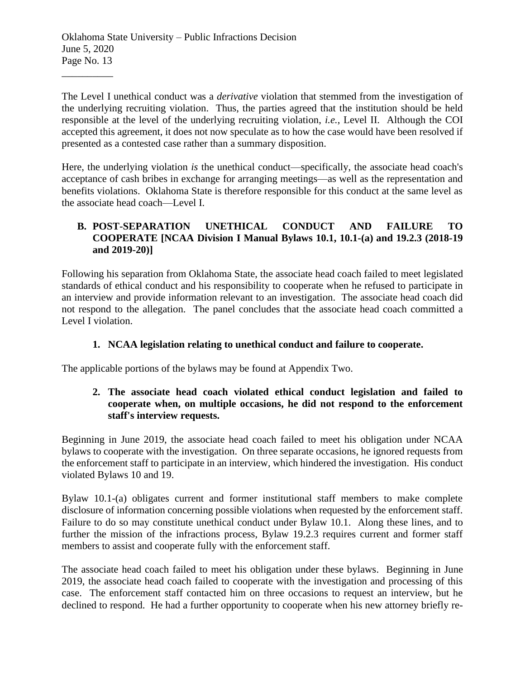The Level I unethical conduct was a *derivative* violation that stemmed from the investigation of the underlying recruiting violation. Thus, the parties agreed that the institution should be held responsible at the level of the underlying recruiting violation, *i.e.*, Level II. Although the COI accepted this agreement, it does not now speculate as to how the case would have been resolved if presented as a contested case rather than a summary disposition.

Here, the underlying violation *is* the unethical conduct—specifically, the associate head coach's acceptance of cash bribes in exchange for arranging meetings—as well as the representation and benefits violations. Oklahoma State is therefore responsible for this conduct at the same level as the associate head coach—Level I.

## **B. POST-SEPARATION UNETHICAL CONDUCT AND FAILURE TO COOPERATE [NCAA Division I Manual Bylaws 10.1, 10.1-(a) and 19.2.3 (2018-19 and 2019-20)]**

Following his separation from Oklahoma State, the associate head coach failed to meet legislated standards of ethical conduct and his responsibility to cooperate when he refused to participate in an interview and provide information relevant to an investigation. The associate head coach did not respond to the allegation. The panel concludes that the associate head coach committed a Level I violation.

# **1. NCAA legislation relating to unethical conduct and failure to cooperate.**

The applicable portions of the bylaws may be found at Appendix Two.

# **2. The associate head coach violated ethical conduct legislation and failed to cooperate when, on multiple occasions, he did not respond to the enforcement staff's interview requests.**

Beginning in June 2019, the associate head coach failed to meet his obligation under NCAA bylaws to cooperate with the investigation. On three separate occasions, he ignored requests from the enforcement staff to participate in an interview, which hindered the investigation. His conduct violated Bylaws 10 and 19.

Bylaw 10.1-(a) obligates current and former institutional staff members to make complete disclosure of information concerning possible violations when requested by the enforcement staff. Failure to do so may constitute unethical conduct under Bylaw 10.1. Along these lines, and to further the mission of the infractions process, Bylaw 19.2.3 requires current and former staff members to assist and cooperate fully with the enforcement staff.

The associate head coach failed to meet his obligation under these bylaws. Beginning in June 2019, the associate head coach failed to cooperate with the investigation and processing of this case. The enforcement staff contacted him on three occasions to request an interview, but he declined to respond. He had a further opportunity to cooperate when his new attorney briefly re-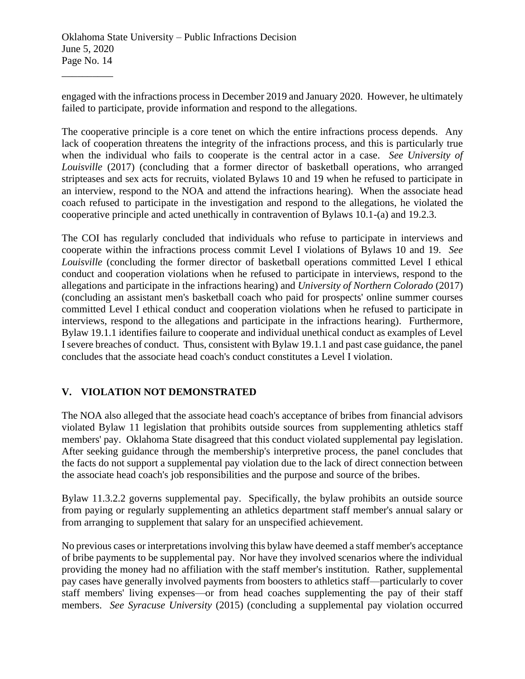engaged with the infractions process in December 2019 and January 2020. However, he ultimately failed to participate, provide information and respond to the allegations.

The cooperative principle is a core tenet on which the entire infractions process depends. Any lack of cooperation threatens the integrity of the infractions process, and this is particularly true when the individual who fails to cooperate is the central actor in a case. *See University of Louisville* (2017) (concluding that a former director of basketball operations, who arranged stripteases and sex acts for recruits, violated Bylaws 10 and 19 when he refused to participate in an interview, respond to the NOA and attend the infractions hearing). When the associate head coach refused to participate in the investigation and respond to the allegations, he violated the cooperative principle and acted unethically in contravention of Bylaws 10.1-(a) and 19.2.3.

The COI has regularly concluded that individuals who refuse to participate in interviews and cooperate within the infractions process commit Level I violations of Bylaws 10 and 19. *See Louisville* (concluding the former director of basketball operations committed Level I ethical conduct and cooperation violations when he refused to participate in interviews, respond to the allegations and participate in the infractions hearing) and *University of Northern Colorado* (2017) (concluding an assistant men's basketball coach who paid for prospects' online summer courses committed Level I ethical conduct and cooperation violations when he refused to participate in interviews, respond to the allegations and participate in the infractions hearing). Furthermore, Bylaw 19.1.1 identifies failure to cooperate and individual unethical conduct as examples of Level I severe breaches of conduct. Thus, consistent with Bylaw 19.1.1 and past case guidance, the panel concludes that the associate head coach's conduct constitutes a Level I violation.

# **V. VIOLATION NOT DEMONSTRATED**

The NOA also alleged that the associate head coach's acceptance of bribes from financial advisors violated Bylaw 11 legislation that prohibits outside sources from supplementing athletics staff members' pay. Oklahoma State disagreed that this conduct violated supplemental pay legislation. After seeking guidance through the membership's interpretive process, the panel concludes that the facts do not support a supplemental pay violation due to the lack of direct connection between the associate head coach's job responsibilities and the purpose and source of the bribes.

Bylaw 11.3.2.2 governs supplemental pay. Specifically, the bylaw prohibits an outside source from paying or regularly supplementing an athletics department staff member's annual salary or from arranging to supplement that salary for an unspecified achievement.

No previous cases or interpretations involving this bylaw have deemed a staff member's acceptance of bribe payments to be supplemental pay. Nor have they involved scenarios where the individual providing the money had no affiliation with the staff member's institution. Rather, supplemental pay cases have generally involved payments from boosters to athletics staff—particularly to cover staff members' living expenses—or from head coaches supplementing the pay of their staff members. *See Syracuse University* (2015) (concluding a supplemental pay violation occurred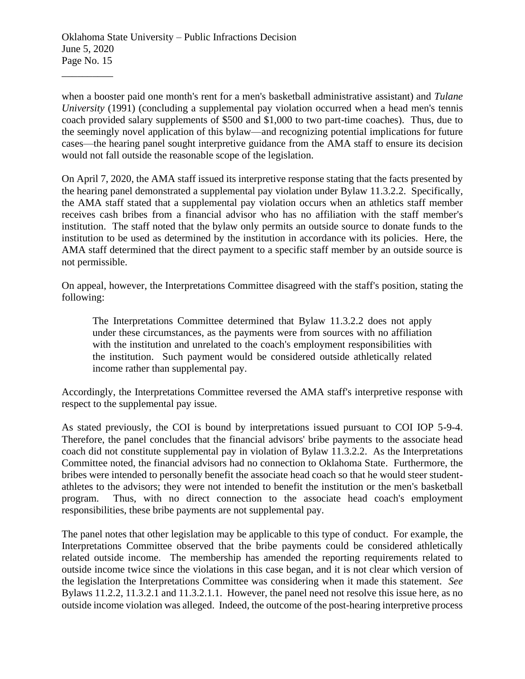when a booster paid one month's rent for a men's basketball administrative assistant) and *Tulane University* (1991) (concluding a supplemental pay violation occurred when a head men's tennis coach provided salary supplements of \$500 and \$1,000 to two part-time coaches). Thus, due to the seemingly novel application of this bylaw—and recognizing potential implications for future cases—the hearing panel sought interpretive guidance from the AMA staff to ensure its decision would not fall outside the reasonable scope of the legislation.

On April 7, 2020, the AMA staff issued its interpretive response stating that the facts presented by the hearing panel demonstrated a supplemental pay violation under Bylaw 11.3.2.2. Specifically, the AMA staff stated that a supplemental pay violation occurs when an athletics staff member receives cash bribes from a financial advisor who has no affiliation with the staff member's institution. The staff noted that the bylaw only permits an outside source to donate funds to the institution to be used as determined by the institution in accordance with its policies. Here, the AMA staff determined that the direct payment to a specific staff member by an outside source is not permissible.

On appeal, however, the Interpretations Committee disagreed with the staff's position, stating the following:

The Interpretations Committee determined that Bylaw 11.3.2.2 does not apply under these circumstances, as the payments were from sources with no affiliation with the institution and unrelated to the coach's employment responsibilities with the institution. Such payment would be considered outside athletically related income rather than supplemental pay.

Accordingly, the Interpretations Committee reversed the AMA staff's interpretive response with respect to the supplemental pay issue.

As stated previously, the COI is bound by interpretations issued pursuant to COI IOP 5-9-4. Therefore, the panel concludes that the financial advisors' bribe payments to the associate head coach did not constitute supplemental pay in violation of Bylaw 11.3.2.2. As the Interpretations Committee noted, the financial advisors had no connection to Oklahoma State. Furthermore, the bribes were intended to personally benefit the associate head coach so that he would steer studentathletes to the advisors; they were not intended to benefit the institution or the men's basketball program. Thus, with no direct connection to the associate head coach's employment responsibilities, these bribe payments are not supplemental pay.

The panel notes that other legislation may be applicable to this type of conduct. For example, the Interpretations Committee observed that the bribe payments could be considered athletically related outside income. The membership has amended the reporting requirements related to outside income twice since the violations in this case began, and it is not clear which version of the legislation the Interpretations Committee was considering when it made this statement. *See*  Bylaws 11.2.2, 11.3.2.1 and 11.3.2.1.1. However, the panel need not resolve this issue here, as no outside income violation was alleged. Indeed, the outcome of the post-hearing interpretive process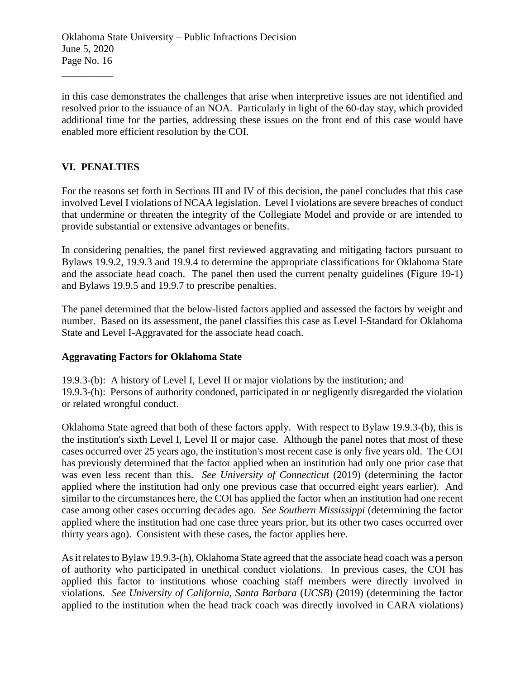in this case demonstrates the challenges that arise when interpretive issues are not identified and resolved prior to the issuance of an NOA. Particularly in light of the 60-day stay, which provided additional time for the parties, addressing these issues on the front end of this case would have enabled more efficient resolution by the COI.

# **VI. PENALTIES**

\_\_\_\_\_\_\_\_\_\_

For the reasons set forth in Sections III and IV of this decision, the panel concludes that this case involved Level I violations of NCAA legislation. Level I violations are severe breaches of conduct that undermine or threaten the integrity of the Collegiate Model and provide or are intended to provide substantial or extensive advantages or benefits.

In considering penalties, the panel first reviewed aggravating and mitigating factors pursuant to Bylaws 19.9.2, 19.9.3 and 19.9.4 to determine the appropriate classifications for Oklahoma State and the associate head coach. The panel then used the current penalty guidelines (Figure 19-1) and Bylaws 19.9.5 and 19.9.7 to prescribe penalties.

The panel determined that the below-listed factors applied and assessed the factors by weight and number. Based on its assessment, the panel classifies this case as Level I-Standard for Oklahoma State and Level I-Aggravated for the associate head coach.

## **Aggravating Factors for Oklahoma State**

19.9.3-(b): A history of Level I, Level II or major violations by the institution; and 19.9.3-(h): Persons of authority condoned, participated in or negligently disregarded the violation or related wrongful conduct.

Oklahoma State agreed that both of these factors apply. With respect to Bylaw 19.9.3-(b), this is the institution's sixth Level I, Level II or major case. Although the panel notes that most of these cases occurred over 25 years ago, the institution's most recent case is only five years old. The COI has previously determined that the factor applied when an institution had only one prior case that was even less recent than this. *See University of Connecticut* (2019) (determining the factor applied where the institution had only one previous case that occurred eight years earlier). And similar to the circumstances here, the COI has applied the factor when an institution had one recent case among other cases occurring decades ago. *See Southern Mississippi* (determining the factor applied where the institution had one case three years prior, but its other two cases occurred over thirty years ago). Consistent with these cases, the factor applies here.

As it relates to Bylaw 19.9.3-(h), Oklahoma State agreed that the associate head coach was a person of authority who participated in unethical conduct violations. In previous cases, the COI has applied this factor to institutions whose coaching staff members were directly involved in violations. *See University of California, Santa Barbara* (*UCSB*) (2019) (determining the factor applied to the institution when the head track coach was directly involved in CARA violations)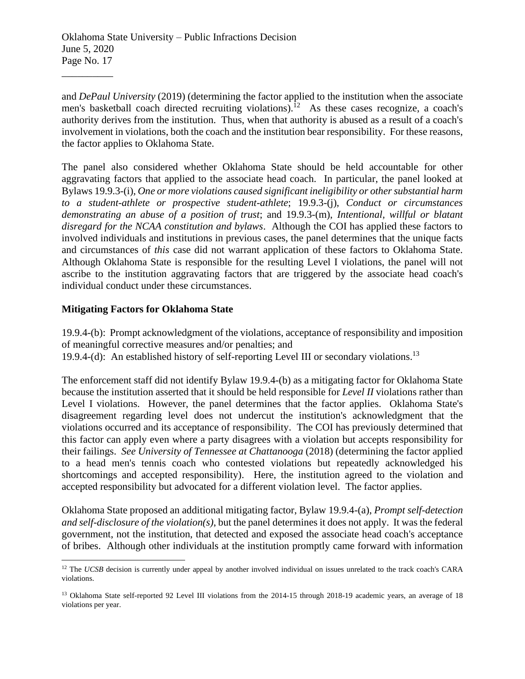and *DePaul University* (2019) (determining the factor applied to the institution when the associate men's basketball coach directed recruiting violations).<sup>12</sup> As these cases recognize, a coach's authority derives from the institution. Thus, when that authority is abused as a result of a coach's involvement in violations, both the coach and the institution bear responsibility. For these reasons, the factor applies to Oklahoma State.

The panel also considered whether Oklahoma State should be held accountable for other aggravating factors that applied to the associate head coach. In particular, the panel looked at Bylaws 19.9.3-(i), *One or more violations caused significant ineligibility or other substantial harm to a student-athlete or prospective student-athlete*; 19.9.3-(j), *Conduct or circumstances demonstrating an abuse of a position of trust*; and 19.9.3-(m), *Intentional, willful or blatant disregard for the NCAA constitution and bylaws*. Although the COI has applied these factors to involved individuals and institutions in previous cases, the panel determines that the unique facts and circumstances of *this* case did not warrant application of these factors to Oklahoma State. Although Oklahoma State is responsible for the resulting Level I violations, the panel will not ascribe to the institution aggravating factors that are triggered by the associate head coach's individual conduct under these circumstances.

## **Mitigating Factors for Oklahoma State**

19.9.4-(b): Prompt acknowledgment of the violations, acceptance of responsibility and imposition of meaningful corrective measures and/or penalties; and 19.9.4-(d): An established history of self-reporting Level III or secondary violations.<sup>13</sup>

The enforcement staff did not identify Bylaw 19.9.4-(b) as a mitigating factor for Oklahoma State because the institution asserted that it should be held responsible for *Level II* violations rather than Level I violations. However, the panel determines that the factor applies. Oklahoma State's disagreement regarding level does not undercut the institution's acknowledgment that the violations occurred and its acceptance of responsibility. The COI has previously determined that this factor can apply even where a party disagrees with a violation but accepts responsibility for their failings. *See University of Tennessee at Chattanooga* (2018) (determining the factor applied to a head men's tennis coach who contested violations but repeatedly acknowledged his shortcomings and accepted responsibility). Here, the institution agreed to the violation and accepted responsibility but advocated for a different violation level. The factor applies.

Oklahoma State proposed an additional mitigating factor, Bylaw 19.9.4-(a), *Prompt self-detection and self-disclosure of the violation(s)*, but the panel determines it does not apply. It was the federal government, not the institution, that detected and exposed the associate head coach's acceptance of bribes. Although other individuals at the institution promptly came forward with information

<sup>&</sup>lt;sup>12</sup> The *UCSB* decision is currently under appeal by another involved individual on issues unrelated to the track coach's CARA violations.

<sup>&</sup>lt;sup>13</sup> Oklahoma State self-reported 92 Level III violations from the 2014-15 through 2018-19 academic years, an average of 18 violations per year.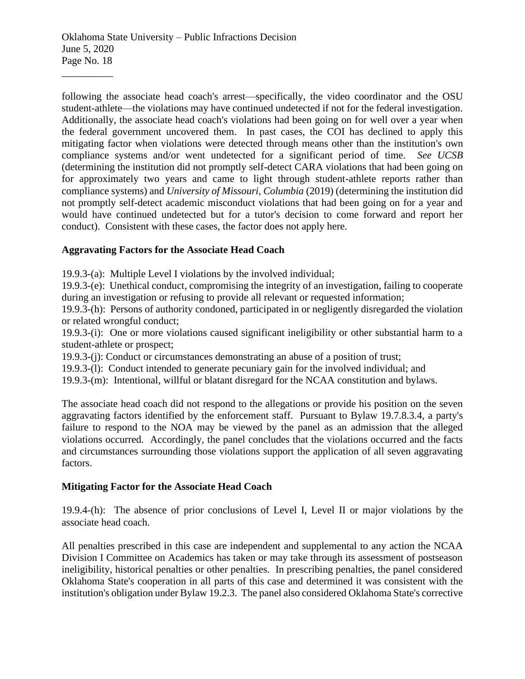following the associate head coach's arrest—specifically, the video coordinator and the OSU student-athlete—the violations may have continued undetected if not for the federal investigation. Additionally, the associate head coach's violations had been going on for well over a year when the federal government uncovered them. In past cases, the COI has declined to apply this mitigating factor when violations were detected through means other than the institution's own compliance systems and/or went undetected for a significant period of time. *See UCSB* (determining the institution did not promptly self-detect CARA violations that had been going on for approximately two years and came to light through student-athlete reports rather than compliance systems) and *University of Missouri, Columbia* (2019) (determining the institution did not promptly self-detect academic misconduct violations that had been going on for a year and would have continued undetected but for a tutor's decision to come forward and report her conduct). Consistent with these cases, the factor does not apply here.

## **Aggravating Factors for the Associate Head Coach**

19.9.3-(a): Multiple Level I violations by the involved individual;

19.9.3-(e): Unethical conduct, compromising the integrity of an investigation, failing to cooperate during an investigation or refusing to provide all relevant or requested information;

19.9.3-(h): Persons of authority condoned, participated in or negligently disregarded the violation or related wrongful conduct;

19.9.3-(i): One or more violations caused significant ineligibility or other substantial harm to a student-athlete or prospect;

19.9.3-(j): Conduct or circumstances demonstrating an abuse of a position of trust;

19.9.3-(l): Conduct intended to generate pecuniary gain for the involved individual; and

19.9.3-(m): Intentional, willful or blatant disregard for the NCAA constitution and bylaws.

The associate head coach did not respond to the allegations or provide his position on the seven aggravating factors identified by the enforcement staff. Pursuant to Bylaw 19.7.8.3.4, a party's failure to respond to the NOA may be viewed by the panel as an admission that the alleged violations occurred. Accordingly, the panel concludes that the violations occurred and the facts and circumstances surrounding those violations support the application of all seven aggravating factors.

## **Mitigating Factor for the Associate Head Coach**

19.9.4-(h): The absence of prior conclusions of Level I, Level II or major violations by the associate head coach.

All penalties prescribed in this case are independent and supplemental to any action the NCAA Division I Committee on Academics has taken or may take through its assessment of postseason ineligibility, historical penalties or other penalties. In prescribing penalties, the panel considered Oklahoma State's cooperation in all parts of this case and determined it was consistent with the institution's obligation under Bylaw 19.2.3. The panel also considered Oklahoma State's corrective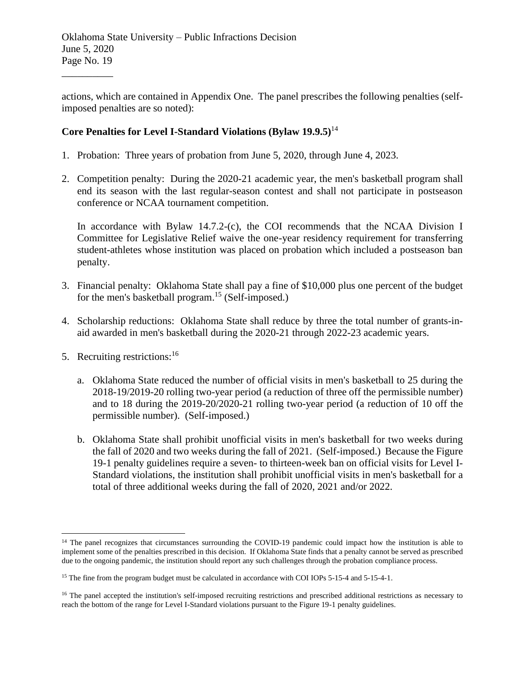actions, which are contained in Appendix One. The panel prescribes the following penalties (selfimposed penalties are so noted):

# **Core Penalties for Level I-Standard Violations (Bylaw 19.9.5)**<sup>14</sup>

- 1. Probation: Three years of probation from June 5, 2020, through June 4, 2023.
- 2. Competition penalty: During the 2020-21 academic year, the men's basketball program shall end its season with the last regular-season contest and shall not participate in postseason conference or NCAA tournament competition.

In accordance with Bylaw 14.7.2-(c), the COI recommends that the NCAA Division I Committee for Legislative Relief waive the one-year residency requirement for transferring student-athletes whose institution was placed on probation which included a postseason ban penalty.

- 3. Financial penalty: Oklahoma State shall pay a fine of \$10,000 plus one percent of the budget for the men's basketball program. <sup>15</sup> (Self-imposed.)
- 4. Scholarship reductions: Oklahoma State shall reduce by three the total number of grants-inaid awarded in men's basketball during the 2020-21 through 2022-23 academic years.
- 5. Recruiting restrictions:<sup>16</sup>

\_\_\_\_\_\_\_\_\_\_

- a. Oklahoma State reduced the number of official visits in men's basketball to 25 during the 2018-19/2019-20 rolling two-year period (a reduction of three off the permissible number) and to 18 during the 2019-20/2020-21 rolling two-year period (a reduction of 10 off the permissible number). (Self-imposed.)
- b. Oklahoma State shall prohibit unofficial visits in men's basketball for two weeks during the fall of 2020 and two weeks during the fall of 2021. (Self-imposed.) Because the Figure 19-1 penalty guidelines require a seven- to thirteen-week ban on official visits for Level I-Standard violations, the institution shall prohibit unofficial visits in men's basketball for a total of three additional weeks during the fall of 2020, 2021 and/or 2022.

<sup>&</sup>lt;sup>14</sup> The panel recognizes that circumstances surrounding the COVID-19 pandemic could impact how the institution is able to implement some of the penalties prescribed in this decision. If Oklahoma State finds that a penalty cannot be served as prescribed due to the ongoing pandemic, the institution should report any such challenges through the probation compliance process.

<sup>&</sup>lt;sup>15</sup> The fine from the program budget must be calculated in accordance with COI IOPs 5-15-4 and 5-15-4-1.

<sup>&</sup>lt;sup>16</sup> The panel accepted the institution's self-imposed recruiting restrictions and prescribed additional restrictions as necessary to reach the bottom of the range for Level I-Standard violations pursuant to the Figure 19-1 penalty guidelines.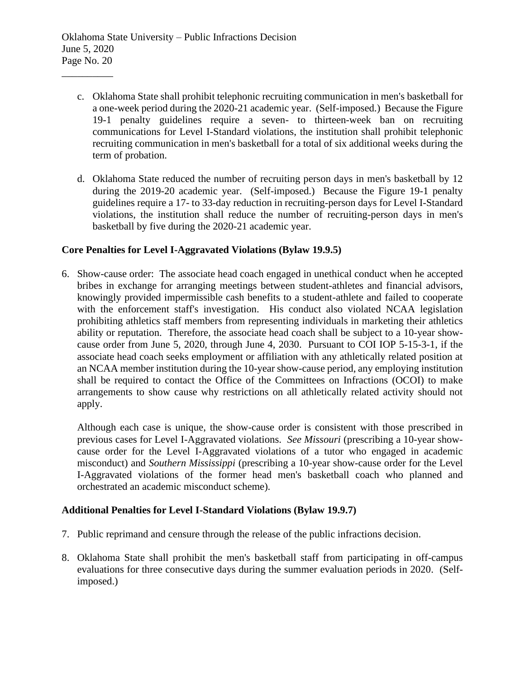- c. Oklahoma State shall prohibit telephonic recruiting communication in men's basketball for a one-week period during the 2020-21 academic year. (Self-imposed.) Because the Figure 19-1 penalty guidelines require a seven- to thirteen-week ban on recruiting communications for Level I-Standard violations, the institution shall prohibit telephonic recruiting communication in men's basketball for a total of six additional weeks during the term of probation.
- d. Oklahoma State reduced the number of recruiting person days in men's basketball by 12 during the 2019-20 academic year. (Self-imposed.) Because the Figure 19-1 penalty guidelines require a 17- to 33-day reduction in recruiting-person days for Level I-Standard violations, the institution shall reduce the number of recruiting-person days in men's basketball by five during the 2020-21 academic year.

## **Core Penalties for Level I-Aggravated Violations (Bylaw 19.9.5)**

6. Show-cause order: The associate head coach engaged in unethical conduct when he accepted bribes in exchange for arranging meetings between student-athletes and financial advisors, knowingly provided impermissible cash benefits to a student-athlete and failed to cooperate with the enforcement staff's investigation. His conduct also violated NCAA legislation prohibiting athletics staff members from representing individuals in marketing their athletics ability or reputation. Therefore, the associate head coach shall be subject to a 10-year showcause order from June 5, 2020, through June 4, 2030. Pursuant to COI IOP 5-15-3-1, if the associate head coach seeks employment or affiliation with any athletically related position at an NCAA member institution during the 10-year show-cause period, any employing institution shall be required to contact the Office of the Committees on Infractions (OCOI) to make arrangements to show cause why restrictions on all athletically related activity should not apply.

Although each case is unique, the show-cause order is consistent with those prescribed in previous cases for Level I-Aggravated violations. *See Missouri* (prescribing a 10-year showcause order for the Level I-Aggravated violations of a tutor who engaged in academic misconduct) and *Southern Mississippi* (prescribing a 10-year show-cause order for the Level I-Aggravated violations of the former head men's basketball coach who planned and orchestrated an academic misconduct scheme).

## **Additional Penalties for Level I-Standard Violations (Bylaw 19.9.7)**

- 7. Public reprimand and censure through the release of the public infractions decision.
- 8. Oklahoma State shall prohibit the men's basketball staff from participating in off-campus evaluations for three consecutive days during the summer evaluation periods in 2020. (Selfimposed.)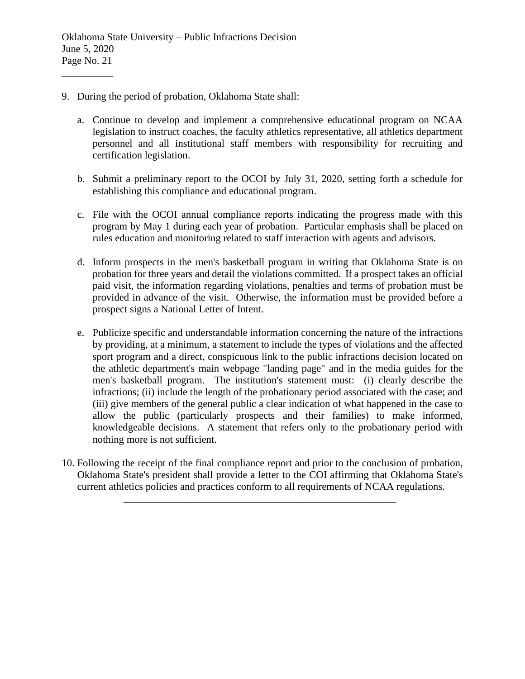- 9. During the period of probation, Oklahoma State shall:
	- a. Continue to develop and implement a comprehensive educational program on NCAA legislation to instruct coaches, the faculty athletics representative, all athletics department personnel and all institutional staff members with responsibility for recruiting and certification legislation.
	- b. Submit a preliminary report to the OCOI by July 31, 2020, setting forth a schedule for establishing this compliance and educational program.
	- c. File with the OCOI annual compliance reports indicating the progress made with this program by May 1 during each year of probation. Particular emphasis shall be placed on rules education and monitoring related to staff interaction with agents and advisors.
	- d. Inform prospects in the men's basketball program in writing that Oklahoma State is on probation for three years and detail the violations committed. If a prospect takes an official paid visit, the information regarding violations, penalties and terms of probation must be provided in advance of the visit. Otherwise, the information must be provided before a prospect signs a National Letter of Intent.
	- e. Publicize specific and understandable information concerning the nature of the infractions by providing, at a minimum, a statement to include the types of violations and the affected sport program and a direct, conspicuous link to the public infractions decision located on the athletic department's main webpage "landing page" and in the media guides for the men's basketball program. The institution's statement must: (i) clearly describe the infractions; (ii) include the length of the probationary period associated with the case; and (iii) give members of the general public a clear indication of what happened in the case to allow the public (particularly prospects and their families) to make informed, knowledgeable decisions. A statement that refers only to the probationary period with nothing more is not sufficient.
- 10. Following the receipt of the final compliance report and prior to the conclusion of probation, Oklahoma State's president shall provide a letter to the COI affirming that Oklahoma State's current athletics policies and practices conform to all requirements of NCAA regulations.

\_\_\_\_\_\_\_\_\_\_\_\_\_\_\_\_\_\_\_\_\_\_\_\_\_\_\_\_\_\_\_\_\_\_\_\_\_\_\_\_\_\_\_\_\_\_\_\_\_\_\_\_\_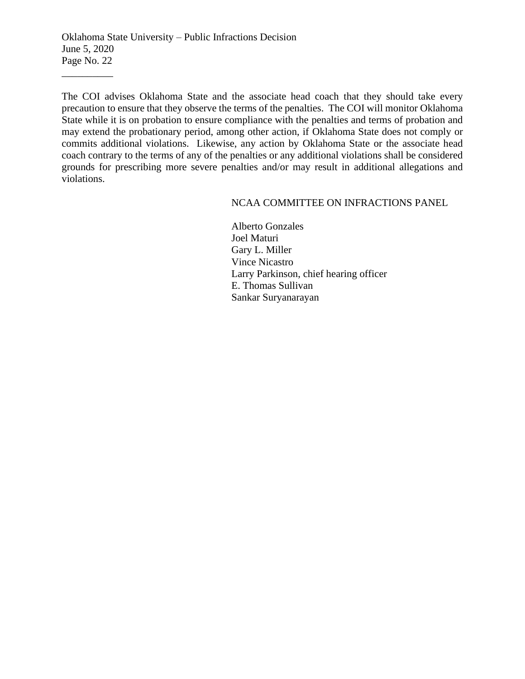The COI advises Oklahoma State and the associate head coach that they should take every precaution to ensure that they observe the terms of the penalties. The COI will monitor Oklahoma State while it is on probation to ensure compliance with the penalties and terms of probation and may extend the probationary period, among other action, if Oklahoma State does not comply or commits additional violations. Likewise, any action by Oklahoma State or the associate head coach contrary to the terms of any of the penalties or any additional violations shall be considered grounds for prescribing more severe penalties and/or may result in additional allegations and violations.

#### NCAA COMMITTEE ON INFRACTIONS PANEL

Alberto Gonzales Joel Maturi Gary L. Miller Vince Nicastro Larry Parkinson, chief hearing officer E. Thomas Sullivan Sankar Suryanarayan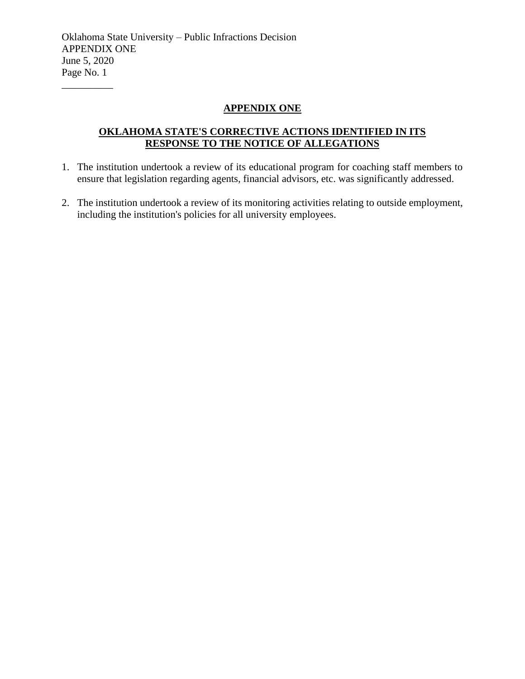## **APPENDIX ONE**

# **OKLAHOMA STATE'S CORRECTIVE ACTIONS IDENTIFIED IN ITS RESPONSE TO THE NOTICE OF ALLEGATIONS**

- 1. The institution undertook a review of its educational program for coaching staff members to ensure that legislation regarding agents, financial advisors, etc. was significantly addressed.
- 2. The institution undertook a review of its monitoring activities relating to outside employment, including the institution's policies for all university employees.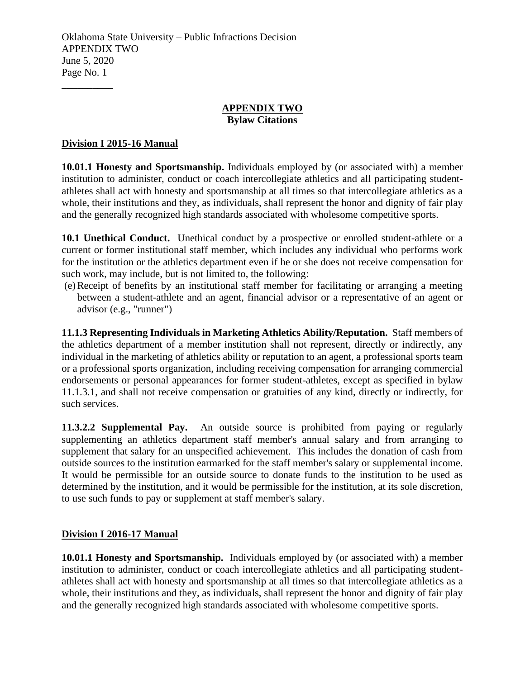#### **APPENDIX TWO Bylaw Citations**

# **Division I 2015-16 Manual**

\_\_\_\_\_\_\_\_\_\_

**10.01.1 Honesty and Sportsmanship.** Individuals employed by (or associated with) a member institution to administer, conduct or coach intercollegiate athletics and all participating studentathletes shall act with honesty and sportsmanship at all times so that intercollegiate athletics as a whole, their institutions and they, as individuals, shall represent the honor and dignity of fair play and the generally recognized high standards associated with wholesome competitive sports.

**10.1 Unethical Conduct.** Unethical conduct by a prospective or enrolled student-athlete or a current or former institutional staff member, which includes any individual who performs work for the institution or the athletics department even if he or she does not receive compensation for such work, may include, but is not limited to, the following:

(e)Receipt of benefits by an institutional staff member for facilitating or arranging a meeting between a student-athlete and an agent, financial advisor or a representative of an agent or advisor (e.g., "runner")

**11.1.3 Representing Individuals in Marketing Athletics Ability/Reputation.** Staff members of the athletics department of a member institution shall not represent, directly or indirectly, any individual in the marketing of athletics ability or reputation to an agent, a professional sports team or a professional sports organization, including receiving compensation for arranging commercial endorsements or personal appearances for former student-athletes, except as specified in bylaw 11.1.3.1, and shall not receive compensation or gratuities of any kind, directly or indirectly, for such services.

**11.3.2.2 Supplemental Pay.** An outside source is prohibited from paying or regularly supplementing an athletics department staff member's annual salary and from arranging to supplement that salary for an unspecified achievement. This includes the donation of cash from outside sources to the institution earmarked for the staff member's salary or supplemental income. It would be permissible for an outside source to donate funds to the institution to be used as determined by the institution, and it would be permissible for the institution, at its sole discretion, to use such funds to pay or supplement at staff member's salary.

## **Division I 2016-17 Manual**

**10.01.1 Honesty and Sportsmanship.** Individuals employed by (or associated with) a member institution to administer, conduct or coach intercollegiate athletics and all participating studentathletes shall act with honesty and sportsmanship at all times so that intercollegiate athletics as a whole, their institutions and they, as individuals, shall represent the honor and dignity of fair play and the generally recognized high standards associated with wholesome competitive sports.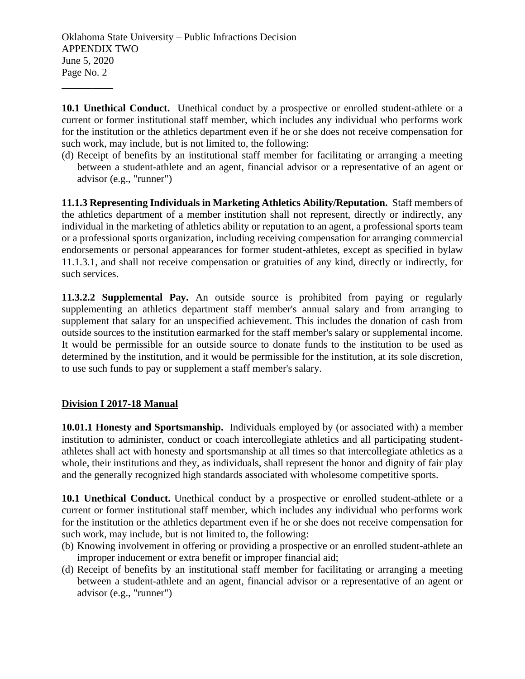10.1 Unethical Conduct. Unethical conduct by a prospective or enrolled student-athlete or a current or former institutional staff member, which includes any individual who performs work for the institution or the athletics department even if he or she does not receive compensation for such work, may include, but is not limited to, the following:

(d) Receipt of benefits by an institutional staff member for facilitating or arranging a meeting between a student-athlete and an agent, financial advisor or a representative of an agent or advisor (e.g., "runner")

**11.1.3 Representing Individuals in Marketing Athletics Ability/Reputation.** Staff members of the athletics department of a member institution shall not represent, directly or indirectly, any individual in the marketing of athletics ability or reputation to an agent, a professional sports team or a professional sports organization, including receiving compensation for arranging commercial endorsements or personal appearances for former student-athletes, except as specified in bylaw 11.1.3.1, and shall not receive compensation or gratuities of any kind, directly or indirectly, for such services.

**11.3.2.2 Supplemental Pay.** An outside source is prohibited from paying or regularly supplementing an athletics department staff member's annual salary and from arranging to supplement that salary for an unspecified achievement. This includes the donation of cash from outside sources to the institution earmarked for the staff member's salary or supplemental income. It would be permissible for an outside source to donate funds to the institution to be used as determined by the institution, and it would be permissible for the institution, at its sole discretion, to use such funds to pay or supplement a staff member's salary.

# **Division I 2017-18 Manual**

\_\_\_\_\_\_\_\_\_\_

**10.01.1 Honesty and Sportsmanship.** Individuals employed by (or associated with) a member institution to administer, conduct or coach intercollegiate athletics and all participating studentathletes shall act with honesty and sportsmanship at all times so that intercollegiate athletics as a whole, their institutions and they, as individuals, shall represent the honor and dignity of fair play and the generally recognized high standards associated with wholesome competitive sports.

**10.1 Unethical Conduct.** Unethical conduct by a prospective or enrolled student-athlete or a current or former institutional staff member, which includes any individual who performs work for the institution or the athletics department even if he or she does not receive compensation for such work, may include, but is not limited to, the following:

- (b) Knowing involvement in offering or providing a prospective or an enrolled student-athlete an improper inducement or extra benefit or improper financial aid;
- (d) Receipt of benefits by an institutional staff member for facilitating or arranging a meeting between a student-athlete and an agent, financial advisor or a representative of an agent or advisor (e.g., "runner")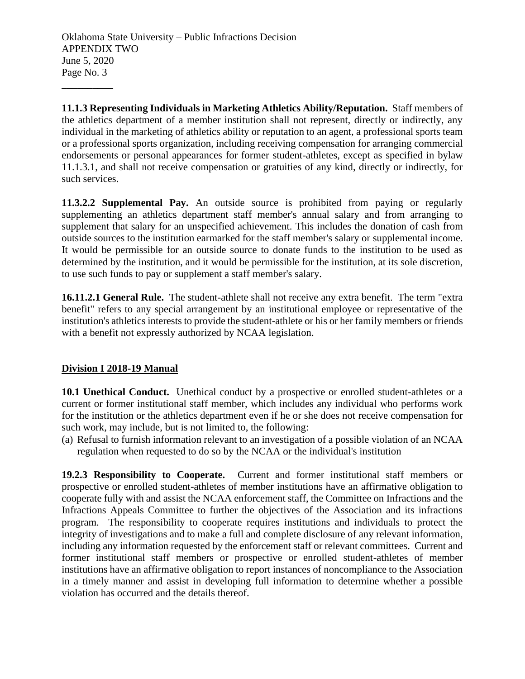**11.1.3 Representing Individuals in Marketing Athletics Ability/Reputation.** Staff members of the athletics department of a member institution shall not represent, directly or indirectly, any individual in the marketing of athletics ability or reputation to an agent, a professional sports team or a professional sports organization, including receiving compensation for arranging commercial endorsements or personal appearances for former student-athletes, except as specified in bylaw 11.1.3.1, and shall not receive compensation or gratuities of any kind, directly or indirectly, for such services.

**11.3.2.2 Supplemental Pay.** An outside source is prohibited from paying or regularly supplementing an athletics department staff member's annual salary and from arranging to supplement that salary for an unspecified achievement. This includes the donation of cash from outside sources to the institution earmarked for the staff member's salary or supplemental income. It would be permissible for an outside source to donate funds to the institution to be used as determined by the institution, and it would be permissible for the institution, at its sole discretion, to use such funds to pay or supplement a staff member's salary.

**16.11.2.1 General Rule.** The student-athlete shall not receive any extra benefit. The term "extra benefit" refers to any special arrangement by an institutional employee or representative of the institution's athletics interests to provide the student-athlete or his or her family members or friends with a benefit not expressly authorized by NCAA legislation.

# **Division I 2018-19 Manual**

\_\_\_\_\_\_\_\_\_\_

10.1 Unethical Conduct. Unethical conduct by a prospective or enrolled student-athletes or a current or former institutional staff member, which includes any individual who performs work for the institution or the athletics department even if he or she does not receive compensation for such work, may include, but is not limited to, the following:

(a) Refusal to furnish information relevant to an investigation of a possible violation of an NCAA regulation when requested to do so by the NCAA or the individual's institution

**19.2.3 Responsibility to Cooperate.** Current and former institutional staff members or prospective or enrolled student-athletes of member institutions have an affirmative obligation to cooperate fully with and assist the NCAA enforcement staff, the Committee on Infractions and the Infractions Appeals Committee to further the objectives of the Association and its infractions program. The responsibility to cooperate requires institutions and individuals to protect the integrity of investigations and to make a full and complete disclosure of any relevant information, including any information requested by the enforcement staff or relevant committees. Current and former institutional staff members or prospective or enrolled student-athletes of member institutions have an affirmative obligation to report instances of noncompliance to the Association in a timely manner and assist in developing full information to determine whether a possible violation has occurred and the details thereof.